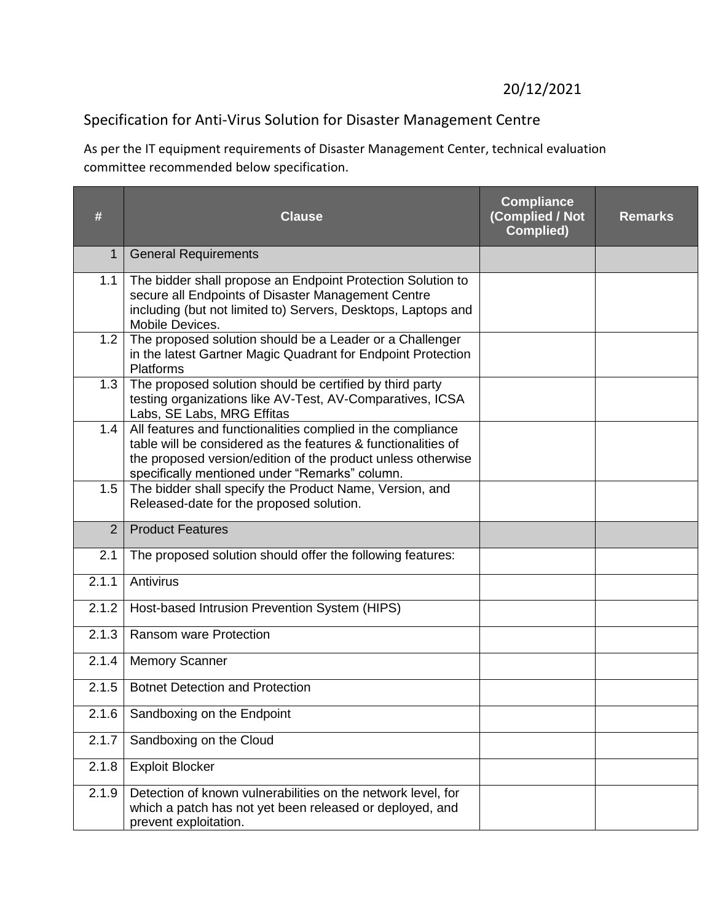## 20/12/2021

## Specification for Anti-Virus Solution for Disaster Management Centre

As per the IT equipment requirements of Disaster Management Center, technical evaluation committee recommended below specification.

| #     | <b>Clause</b>                                                                                                                                                                                                                                  | <b>Compliance</b><br>(Complied / Not<br><b>Complied)</b> | <b>Remarks</b> |
|-------|------------------------------------------------------------------------------------------------------------------------------------------------------------------------------------------------------------------------------------------------|----------------------------------------------------------|----------------|
| 1     | <b>General Requirements</b>                                                                                                                                                                                                                    |                                                          |                |
| 1.1   | The bidder shall propose an Endpoint Protection Solution to<br>secure all Endpoints of Disaster Management Centre<br>including (but not limited to) Servers, Desktops, Laptops and<br>Mobile Devices.                                          |                                                          |                |
| 1.2   | The proposed solution should be a Leader or a Challenger<br>in the latest Gartner Magic Quadrant for Endpoint Protection<br><b>Platforms</b>                                                                                                   |                                                          |                |
| 1.3   | The proposed solution should be certified by third party<br>testing organizations like AV-Test, AV-Comparatives, ICSA<br>Labs, SE Labs, MRG Effitas                                                                                            |                                                          |                |
| 1.4   | All features and functionalities complied in the compliance<br>table will be considered as the features & functionalities of<br>the proposed version/edition of the product unless otherwise<br>specifically mentioned under "Remarks" column. |                                                          |                |
| 1.5   | The bidder shall specify the Product Name, Version, and<br>Released-date for the proposed solution.                                                                                                                                            |                                                          |                |
| 2     | <b>Product Features</b>                                                                                                                                                                                                                        |                                                          |                |
| 2.1   | The proposed solution should offer the following features:                                                                                                                                                                                     |                                                          |                |
| 2.1.1 | Antivirus                                                                                                                                                                                                                                      |                                                          |                |
| 2.1.2 | Host-based Intrusion Prevention System (HIPS)                                                                                                                                                                                                  |                                                          |                |
| 2.1.3 | <b>Ransom ware Protection</b>                                                                                                                                                                                                                  |                                                          |                |
| 2.1.4 | <b>Memory Scanner</b>                                                                                                                                                                                                                          |                                                          |                |
| 2.1.5 | <b>Botnet Detection and Protection</b>                                                                                                                                                                                                         |                                                          |                |
| 2.1.6 | Sandboxing on the Endpoint                                                                                                                                                                                                                     |                                                          |                |
| 2.1.7 | Sandboxing on the Cloud                                                                                                                                                                                                                        |                                                          |                |
| 2.1.8 | <b>Exploit Blocker</b>                                                                                                                                                                                                                         |                                                          |                |
| 2.1.9 | Detection of known vulnerabilities on the network level, for<br>which a patch has not yet been released or deployed, and<br>prevent exploitation.                                                                                              |                                                          |                |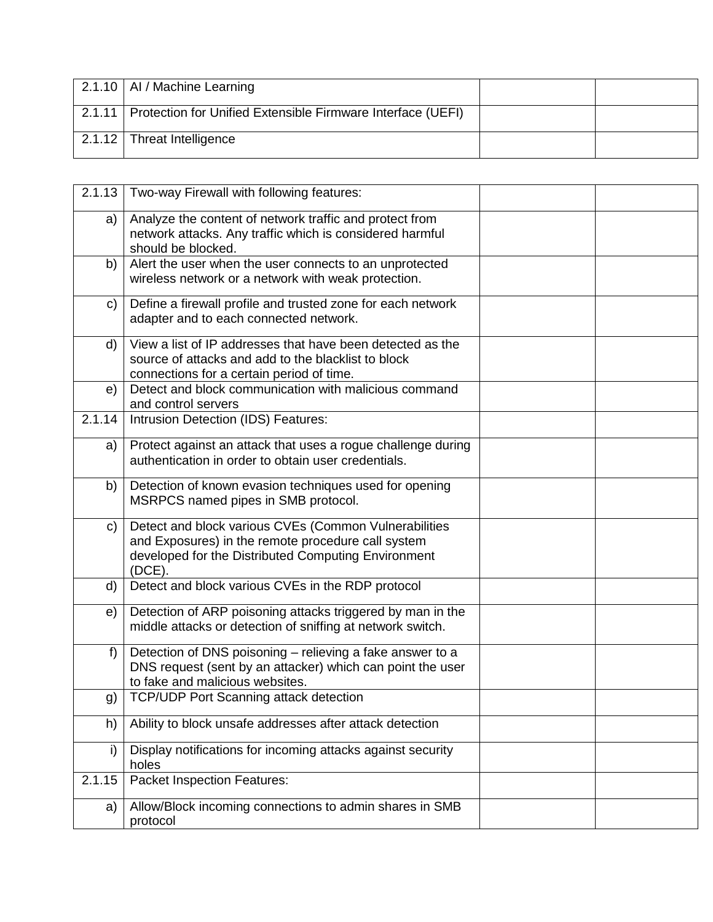| $\vert$ 2.1.10 $\vert$ AI / Machine Learning                         |  |
|----------------------------------------------------------------------|--|
| 2.1.11   Protection for Unified Extensible Firmware Interface (UEFI) |  |
| 2.1.12 Threat Intelligence                                           |  |

| 2.1.13 | Two-way Firewall with following features:                                                                                                                                       |  |
|--------|---------------------------------------------------------------------------------------------------------------------------------------------------------------------------------|--|
| a)     | Analyze the content of network traffic and protect from<br>network attacks. Any traffic which is considered harmful<br>should be blocked.                                       |  |
| b)     | Alert the user when the user connects to an unprotected<br>wireless network or a network with weak protection.                                                                  |  |
| C)     | Define a firewall profile and trusted zone for each network<br>adapter and to each connected network.                                                                           |  |
| d)     | View a list of IP addresses that have been detected as the<br>source of attacks and add to the blacklist to block<br>connections for a certain period of time.                  |  |
| e)     | Detect and block communication with malicious command<br>and control servers                                                                                                    |  |
| 2.1.14 | Intrusion Detection (IDS) Features:                                                                                                                                             |  |
| a)     | Protect against an attack that uses a rogue challenge during<br>authentication in order to obtain user credentials.                                                             |  |
| b)     | Detection of known evasion techniques used for opening<br>MSRPCS named pipes in SMB protocol.                                                                                   |  |
| C)     | Detect and block various CVEs (Common Vulnerabilities<br>and Exposures) in the remote procedure call system<br>developed for the Distributed Computing Environment<br>$(DCE)$ . |  |
| d)     | Detect and block various CVEs in the RDP protocol                                                                                                                               |  |
| e)     | Detection of ARP poisoning attacks triggered by man in the<br>middle attacks or detection of sniffing at network switch.                                                        |  |
| f)     | Detection of DNS poisoning - relieving a fake answer to a<br>DNS request (sent by an attacker) which can point the user<br>to fake and malicious websites.                      |  |
| g)     | TCP/UDP Port Scanning attack detection                                                                                                                                          |  |
| h)     | Ability to block unsafe addresses after attack detection                                                                                                                        |  |
| i)     | Display notifications for incoming attacks against security<br>holes                                                                                                            |  |
| 2.1.15 | <b>Packet Inspection Features:</b>                                                                                                                                              |  |
| a)     | Allow/Block incoming connections to admin shares in SMB<br>protocol                                                                                                             |  |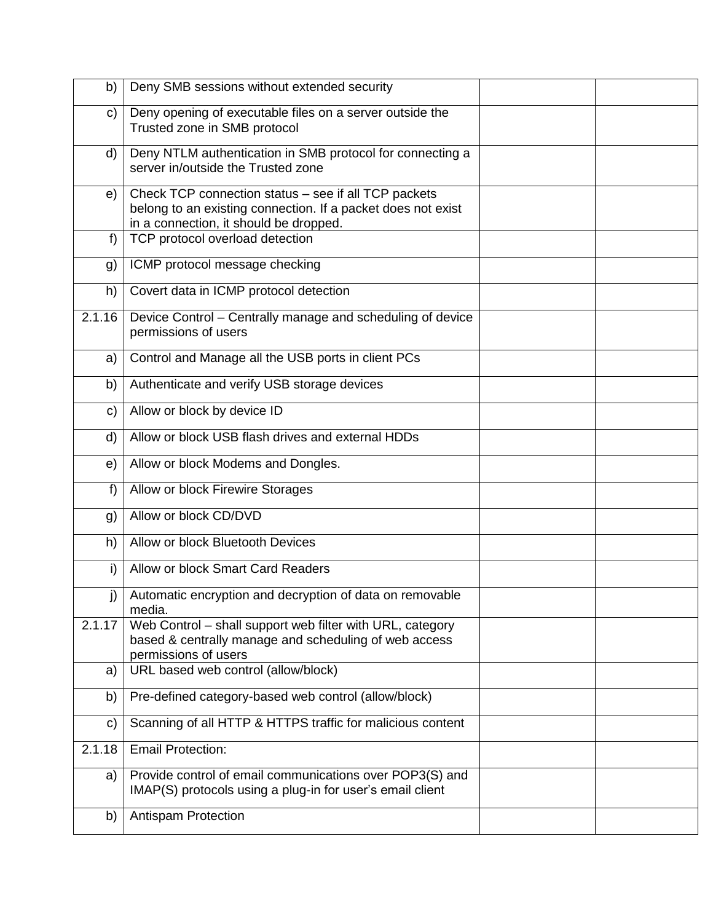| b)     | Deny SMB sessions without extended security                                                                                                                    |  |
|--------|----------------------------------------------------------------------------------------------------------------------------------------------------------------|--|
| C)     | Deny opening of executable files on a server outside the<br>Trusted zone in SMB protocol                                                                       |  |
| d)     | Deny NTLM authentication in SMB protocol for connecting a<br>server in/outside the Trusted zone                                                                |  |
| e)     | Check TCP connection status - see if all TCP packets<br>belong to an existing connection. If a packet does not exist<br>in a connection, it should be dropped. |  |
| f      | TCP protocol overload detection                                                                                                                                |  |
| g)     | ICMP protocol message checking                                                                                                                                 |  |
| h)     | Covert data in ICMP protocol detection                                                                                                                         |  |
| 2.1.16 | Device Control - Centrally manage and scheduling of device<br>permissions of users                                                                             |  |
| a)     | Control and Manage all the USB ports in client PCs                                                                                                             |  |
| b)     | Authenticate and verify USB storage devices                                                                                                                    |  |
| C)     | Allow or block by device ID                                                                                                                                    |  |
| d)     | Allow or block USB flash drives and external HDDs                                                                                                              |  |
| e)     | Allow or block Modems and Dongles.                                                                                                                             |  |
| f)     | Allow or block Firewire Storages                                                                                                                               |  |
| g)     | Allow or block CD/DVD                                                                                                                                          |  |
| h)     | Allow or block Bluetooth Devices                                                                                                                               |  |
| i)     | Allow or block Smart Card Readers                                                                                                                              |  |
| j)     | Automatic encryption and decryption of data on removable<br>media.                                                                                             |  |
| 2.1.17 | Web Control - shall support web filter with URL, category<br>based & centrally manage and scheduling of web access<br>permissions of users                     |  |
| a)     | URL based web control (allow/block)                                                                                                                            |  |
| b)     | Pre-defined category-based web control (allow/block)                                                                                                           |  |
| C)     | Scanning of all HTTP & HTTPS traffic for malicious content                                                                                                     |  |
| 2.1.18 | <b>Email Protection:</b>                                                                                                                                       |  |
| a)     | Provide control of email communications over POP3(S) and<br>IMAP(S) protocols using a plug-in for user's email client                                          |  |
| b)     | <b>Antispam Protection</b>                                                                                                                                     |  |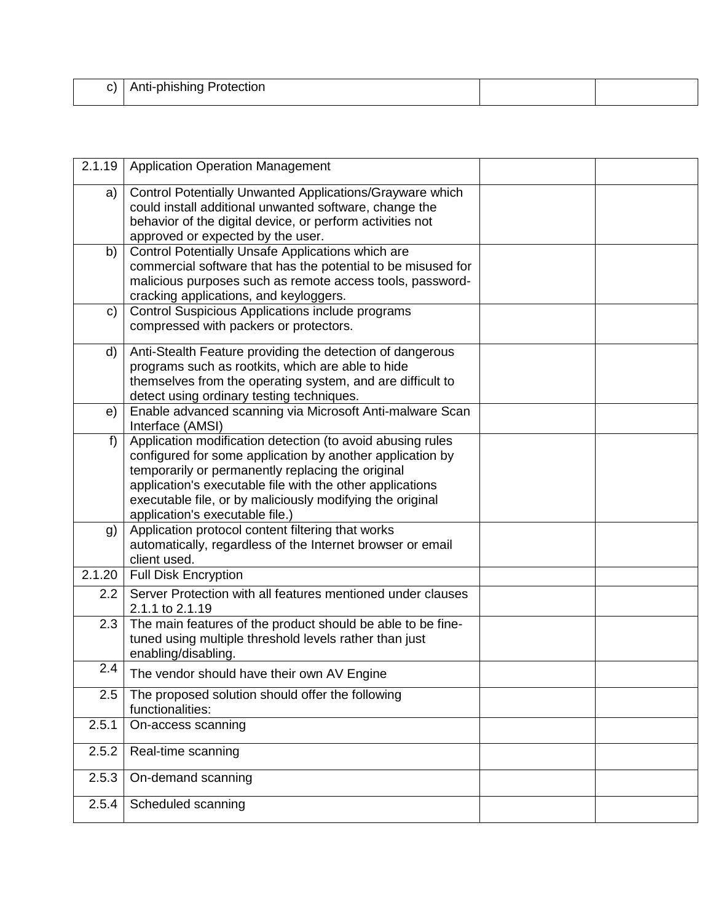| c)   Anti-phishing Protection |  |
|-------------------------------|--|
|                               |  |

| 2.1.19           | <b>Application Operation Management</b>                                                                                                                                                                                                                                                                                                   |  |
|------------------|-------------------------------------------------------------------------------------------------------------------------------------------------------------------------------------------------------------------------------------------------------------------------------------------------------------------------------------------|--|
| a)               | Control Potentially Unwanted Applications/Grayware which<br>could install additional unwanted software, change the<br>behavior of the digital device, or perform activities not<br>approved or expected by the user.                                                                                                                      |  |
| b)               | Control Potentially Unsafe Applications which are<br>commercial software that has the potential to be misused for<br>malicious purposes such as remote access tools, password-<br>cracking applications, and keyloggers.                                                                                                                  |  |
| C)               | Control Suspicious Applications include programs<br>compressed with packers or protectors.                                                                                                                                                                                                                                                |  |
| d)               | Anti-Stealth Feature providing the detection of dangerous<br>programs such as rootkits, which are able to hide<br>themselves from the operating system, and are difficult to<br>detect using ordinary testing techniques.                                                                                                                 |  |
| e)               | Enable advanced scanning via Microsoft Anti-malware Scan<br>Interface (AMSI)                                                                                                                                                                                                                                                              |  |
| f)               | Application modification detection (to avoid abusing rules<br>configured for some application by another application by<br>temporarily or permanently replacing the original<br>application's executable file with the other applications<br>executable file, or by maliciously modifying the original<br>application's executable file.) |  |
| g)               | Application protocol content filtering that works<br>automatically, regardless of the Internet browser or email<br>client used.                                                                                                                                                                                                           |  |
| 2.1.20           | <b>Full Disk Encryption</b>                                                                                                                                                                                                                                                                                                               |  |
| 2.2 <sub>2</sub> | Server Protection with all features mentioned under clauses<br>2.1.1 to 2.1.19                                                                                                                                                                                                                                                            |  |
| 2.3              | The main features of the product should be able to be fine-<br>tuned using multiple threshold levels rather than just<br>enabling/disabling.                                                                                                                                                                                              |  |
| 2.4              | The vendor should have their own AV Engine                                                                                                                                                                                                                                                                                                |  |
| 2.5              | The proposed solution should offer the following<br>functionalities:                                                                                                                                                                                                                                                                      |  |
| 2.5.1            | On-access scanning                                                                                                                                                                                                                                                                                                                        |  |
| 2.5.2            | Real-time scanning                                                                                                                                                                                                                                                                                                                        |  |
| 2.5.3            | On-demand scanning                                                                                                                                                                                                                                                                                                                        |  |
| 2.5.4            | Scheduled scanning                                                                                                                                                                                                                                                                                                                        |  |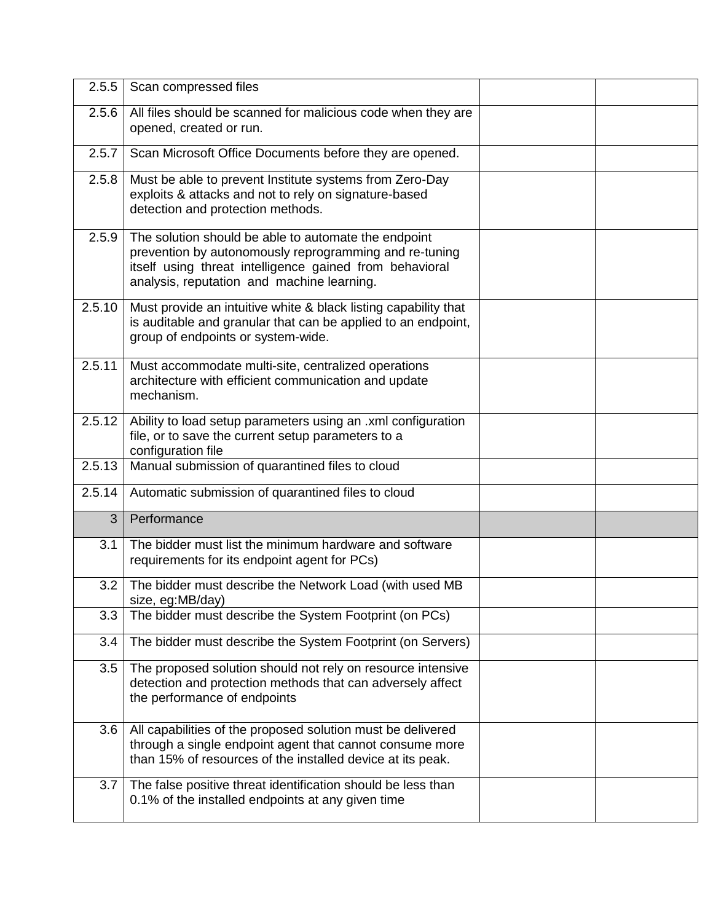| 2.5.5  | Scan compressed files                                                                                                                                                                                                   |  |
|--------|-------------------------------------------------------------------------------------------------------------------------------------------------------------------------------------------------------------------------|--|
| 2.5.6  | All files should be scanned for malicious code when they are<br>opened, created or run.                                                                                                                                 |  |
| 2.5.7  | Scan Microsoft Office Documents before they are opened.                                                                                                                                                                 |  |
| 2.5.8  | Must be able to prevent Institute systems from Zero-Day<br>exploits & attacks and not to rely on signature-based<br>detection and protection methods.                                                                   |  |
| 2.5.9  | The solution should be able to automate the endpoint<br>prevention by autonomously reprogramming and re-tuning<br>itself using threat intelligence gained from behavioral<br>analysis, reputation and machine learning. |  |
| 2.5.10 | Must provide an intuitive white & black listing capability that<br>is auditable and granular that can be applied to an endpoint,<br>group of endpoints or system-wide.                                                  |  |
| 2.5.11 | Must accommodate multi-site, centralized operations<br>architecture with efficient communication and update<br>mechanism.                                                                                               |  |
| 2.5.12 | Ability to load setup parameters using an .xml configuration<br>file, or to save the current setup parameters to a<br>configuration file                                                                                |  |
| 2.5.13 | Manual submission of quarantined files to cloud                                                                                                                                                                         |  |
| 2.5.14 | Automatic submission of quarantined files to cloud                                                                                                                                                                      |  |
| 3      | Performance                                                                                                                                                                                                             |  |
| 3.1    | The bidder must list the minimum hardware and software<br>requirements for its endpoint agent for PCs)                                                                                                                  |  |
| 3.2    | The bidder must describe the Network Load (with used MB<br>size, eg:MB/day)                                                                                                                                             |  |
| 3.3    | The bidder must describe the System Footprint (on PCs)                                                                                                                                                                  |  |
| 3.4    | The bidder must describe the System Footprint (on Servers)                                                                                                                                                              |  |
| 3.5    | The proposed solution should not rely on resource intensive<br>detection and protection methods that can adversely affect<br>the performance of endpoints                                                               |  |
| 3.6    | All capabilities of the proposed solution must be delivered<br>through a single endpoint agent that cannot consume more<br>than 15% of resources of the installed device at its peak.                                   |  |
| 3.7    | The false positive threat identification should be less than<br>0.1% of the installed endpoints at any given time                                                                                                       |  |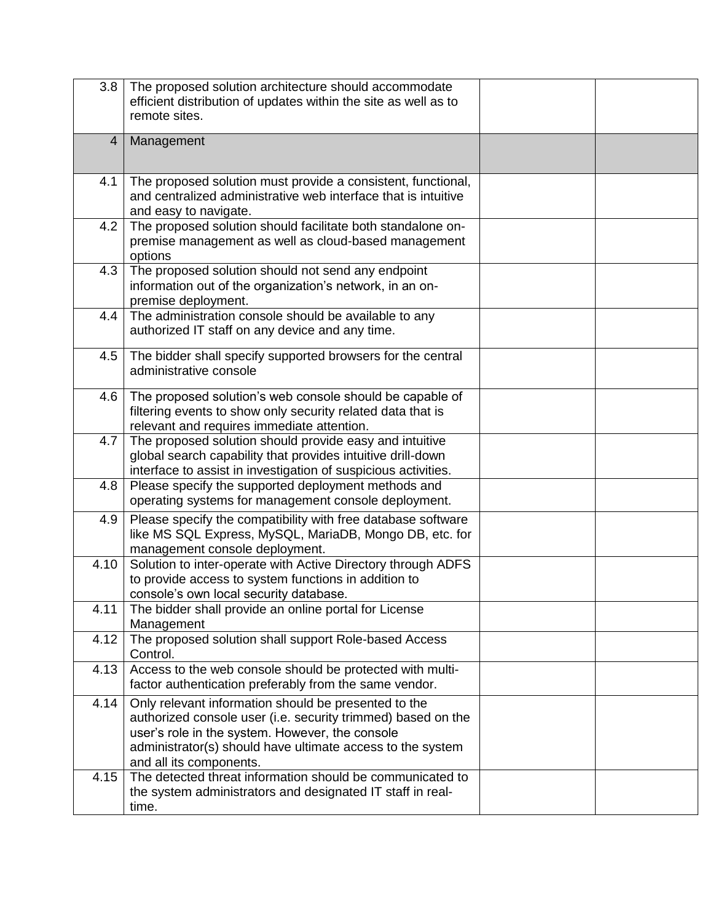| 3.8  | The proposed solution architecture should accommodate<br>efficient distribution of updates within the site as well as to<br>remote sites.                                                                                                                        |  |
|------|------------------------------------------------------------------------------------------------------------------------------------------------------------------------------------------------------------------------------------------------------------------|--|
| 4    | Management                                                                                                                                                                                                                                                       |  |
| 4.1  | The proposed solution must provide a consistent, functional,<br>and centralized administrative web interface that is intuitive<br>and easy to navigate.                                                                                                          |  |
| 4.2  | The proposed solution should facilitate both standalone on-<br>premise management as well as cloud-based management<br>options                                                                                                                                   |  |
| 4.3  | The proposed solution should not send any endpoint<br>information out of the organization's network, in an on-<br>premise deployment.                                                                                                                            |  |
| 4.4  | The administration console should be available to any<br>authorized IT staff on any device and any time.                                                                                                                                                         |  |
| 4.5  | The bidder shall specify supported browsers for the central<br>administrative console                                                                                                                                                                            |  |
| 4.6  | The proposed solution's web console should be capable of<br>filtering events to show only security related data that is<br>relevant and requires immediate attention.                                                                                            |  |
| 4.7  | The proposed solution should provide easy and intuitive<br>global search capability that provides intuitive drill-down<br>interface to assist in investigation of suspicious activities.                                                                         |  |
| 4.8  | Please specify the supported deployment methods and<br>operating systems for management console deployment.                                                                                                                                                      |  |
| 4.9  | Please specify the compatibility with free database software<br>like MS SQL Express, MySQL, MariaDB, Mongo DB, etc. for<br>management console deployment.                                                                                                        |  |
| 4.10 | Solution to inter-operate with Active Directory through ADFS<br>to provide access to system functions in addition to<br>console's own local security database.                                                                                                   |  |
| 4.11 | The bidder shall provide an online portal for License<br>Management                                                                                                                                                                                              |  |
| 4.12 | The proposed solution shall support Role-based Access<br>Control.                                                                                                                                                                                                |  |
| 4.13 | Access to the web console should be protected with multi-<br>factor authentication preferably from the same vendor.                                                                                                                                              |  |
| 4.14 | Only relevant information should be presented to the<br>authorized console user (i.e. security trimmed) based on the<br>user's role in the system. However, the console<br>administrator(s) should have ultimate access to the system<br>and all its components. |  |
| 4.15 | The detected threat information should be communicated to<br>the system administrators and designated IT staff in real-<br>time.                                                                                                                                 |  |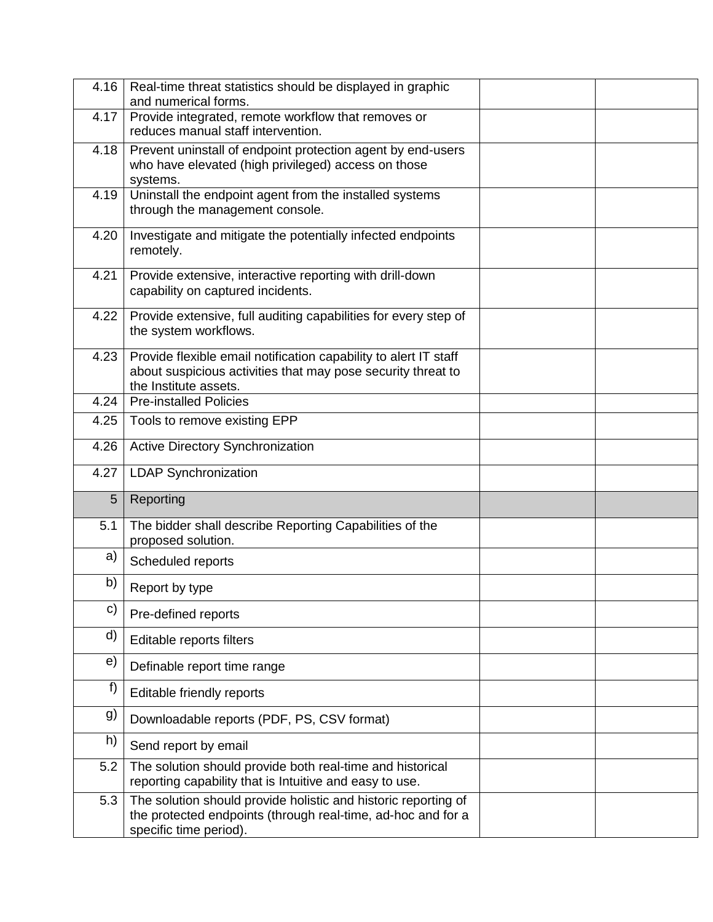| 4.16 | Real-time threat statistics should be displayed in graphic<br>and numerical forms.                                                                        |  |
|------|-----------------------------------------------------------------------------------------------------------------------------------------------------------|--|
| 4.17 | Provide integrated, remote workflow that removes or<br>reduces manual staff intervention.                                                                 |  |
| 4.18 | Prevent uninstall of endpoint protection agent by end-users<br>who have elevated (high privileged) access on those<br>systems.                            |  |
| 4.19 | Uninstall the endpoint agent from the installed systems<br>through the management console.                                                                |  |
| 4.20 | Investigate and mitigate the potentially infected endpoints<br>remotely.                                                                                  |  |
| 4.21 | Provide extensive, interactive reporting with drill-down<br>capability on captured incidents.                                                             |  |
| 4.22 | Provide extensive, full auditing capabilities for every step of<br>the system workflows.                                                                  |  |
| 4.23 | Provide flexible email notification capability to alert IT staff<br>about suspicious activities that may pose security threat to<br>the Institute assets. |  |
| 4.24 | <b>Pre-installed Policies</b>                                                                                                                             |  |
| 4.25 | Tools to remove existing EPP                                                                                                                              |  |
| 4.26 | <b>Active Directory Synchronization</b>                                                                                                                   |  |
| 4.27 | <b>LDAP Synchronization</b>                                                                                                                               |  |
| 5    | Reporting                                                                                                                                                 |  |
| 5.1  | The bidder shall describe Reporting Capabilities of the<br>proposed solution.                                                                             |  |
| a)   | Scheduled reports                                                                                                                                         |  |
| b)   | Report by type                                                                                                                                            |  |
| c)   | Pre-defined reports                                                                                                                                       |  |
| d)   | Editable reports filters                                                                                                                                  |  |
| e)   | Definable report time range                                                                                                                               |  |
| f)   | Editable friendly reports                                                                                                                                 |  |
| g)   | Downloadable reports (PDF, PS, CSV format)                                                                                                                |  |
| h)   | Send report by email                                                                                                                                      |  |
| 5.2  | The solution should provide both real-time and historical<br>reporting capability that is Intuitive and easy to use.                                      |  |
| 5.3  | The solution should provide holistic and historic reporting of<br>the protected endpoints (through real-time, ad-hoc and for a<br>specific time period).  |  |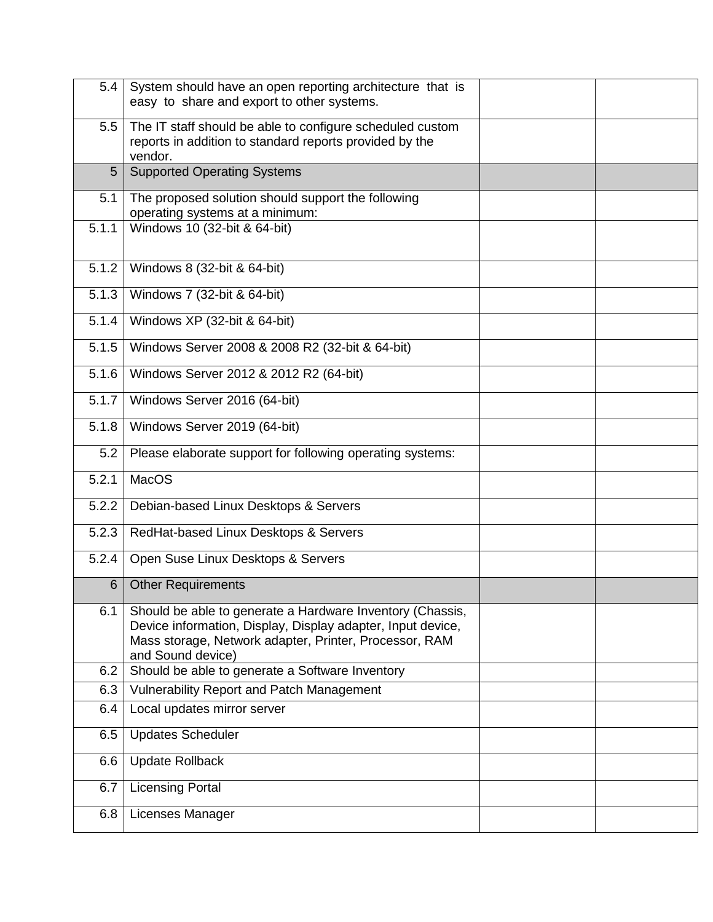| 5.4   | System should have an open reporting architecture that is<br>easy to share and export to other systems.                                                                                                 |  |
|-------|---------------------------------------------------------------------------------------------------------------------------------------------------------------------------------------------------------|--|
| 5.5   | The IT staff should be able to configure scheduled custom<br>reports in addition to standard reports provided by the<br>vendor.                                                                         |  |
| 5     | <b>Supported Operating Systems</b>                                                                                                                                                                      |  |
| 5.1   | The proposed solution should support the following<br>operating systems at a minimum:                                                                                                                   |  |
| 5.1.1 | Windows 10 (32-bit & 64-bit)                                                                                                                                                                            |  |
| 5.1.2 | Windows 8 (32-bit & 64-bit)                                                                                                                                                                             |  |
| 5.1.3 | Windows 7 (32-bit & 64-bit)                                                                                                                                                                             |  |
| 5.1.4 | Windows XP (32-bit & 64-bit)                                                                                                                                                                            |  |
| 5.1.5 | Windows Server 2008 & 2008 R2 (32-bit & 64-bit)                                                                                                                                                         |  |
| 5.1.6 | Windows Server 2012 & 2012 R2 (64-bit)                                                                                                                                                                  |  |
| 5.1.7 | Windows Server 2016 (64-bit)                                                                                                                                                                            |  |
| 5.1.8 | Windows Server 2019 (64-bit)                                                                                                                                                                            |  |
| 5.2   | Please elaborate support for following operating systems:                                                                                                                                               |  |
| 5.2.1 | <b>MacOS</b>                                                                                                                                                                                            |  |
| 5.2.2 | Debian-based Linux Desktops & Servers                                                                                                                                                                   |  |
| 5.2.3 | RedHat-based Linux Desktops & Servers                                                                                                                                                                   |  |
| 5.2.4 | Open Suse Linux Desktops & Servers                                                                                                                                                                      |  |
| 6     | <b>Other Requirements</b>                                                                                                                                                                               |  |
| 6.1   | Should be able to generate a Hardware Inventory (Chassis,<br>Device information, Display, Display adapter, Input device,<br>Mass storage, Network adapter, Printer, Processor, RAM<br>and Sound device) |  |
| 6.2   | Should be able to generate a Software Inventory                                                                                                                                                         |  |
| 6.3   | <b>Vulnerability Report and Patch Management</b>                                                                                                                                                        |  |
| 6.4   | Local updates mirror server                                                                                                                                                                             |  |
| 6.5   | <b>Updates Scheduler</b>                                                                                                                                                                                |  |
| 6.6   | <b>Update Rollback</b>                                                                                                                                                                                  |  |
| 6.7   | <b>Licensing Portal</b>                                                                                                                                                                                 |  |
| 6.8   | Licenses Manager                                                                                                                                                                                        |  |